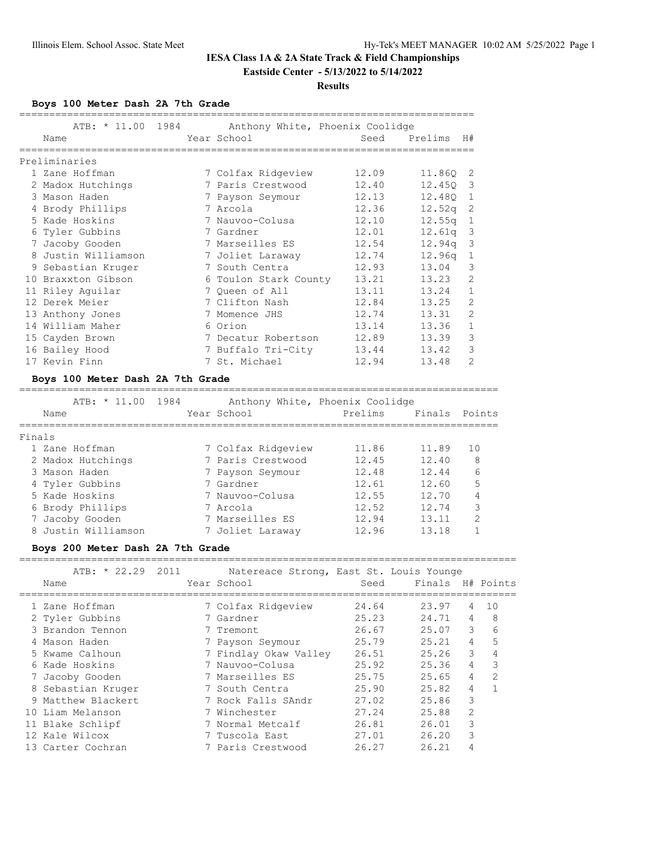#### **Results**

**Boys 100 Meter Dash 2A 7th Grade**

| ATB: * 11.00 1984   | Anthony White, Phoenix Coolidge |       |                    |                         |
|---------------------|---------------------------------|-------|--------------------|-------------------------|
| Name                | Year School                     | Seed  | Prelims            | H#                      |
|                     |                                 |       |                    |                         |
| Preliminaries       |                                 |       |                    |                         |
| 1 Zane Hoffman      | 7 Colfax Ridgeview              | 12.09 | 11.860 2           |                         |
| 2 Madox Hutchings   | 7 Paris Crestwood               | 12.40 | 12.450             | $\overline{\mathbf{3}}$ |
| 3 Mason Haden       | 7 Payson Seymour                | 12.13 | 12.480             | $\mathbf{1}$            |
| 4 Brody Phillips    | 7 Arcola                        | 12.36 | 12.52q             | -2                      |
| 5 Kade Hoskins      | 7 Nauvoo-Colusa                 | 12.10 | 12.55 <sub>q</sub> | -1                      |
| 6 Tyler Gubbins     | 7 Gardner                       | 12.01 | 12.61q             | $\overline{\mathbf{3}}$ |
| 7 Jacoby Gooden     | 7 Marseilles ES                 | 12.54 | 12.94a             | 3                       |
| 8 Justin Williamson | 7 Joliet Laraway                | 12.74 | 12.96q             | $\mathbf{1}$            |
| 9 Sebastian Kruger  | 7 South Centra                  | 12.93 | 13.04              | 3                       |
| 10 Braxxton Gibson  | 6 Toulon Stark County           | 13.21 | 13.23              | 2                       |
| 11 Riley Aquilar    | 7 Oueen of All                  | 13.11 | 13.24              | $\mathbf{1}$            |
| 12 Derek Meier      | 7 Clifton Nash                  | 12.84 | 13.25              | $\overline{c}$          |
| 13 Anthony Jones    | 7 Momence JHS                   | 12.74 | 13.31              | $\mathfrak{D}$          |
| 14 William Maher    | 6 Orion                         | 13.14 | 13.36              | $\mathbf{1}$            |
| 15 Cayden Brown     | 7 Decatur Robertson             | 12.89 | 13.39              | 3                       |
| 16 Bailey Hood      | 7 Buffalo Tri-City              | 13.44 | 13.42              | 3                       |
| 17 Kevin Finn       | 7 St. Michael                   | 12.94 | 13.48              | 2                       |

#### **Boys 100 Meter Dash 2A 7th Grade**

================================================================================

|        | ATB: * 11.00        | 1984 |                    | Anthony White, Phoenix Coolidge |        |               |
|--------|---------------------|------|--------------------|---------------------------------|--------|---------------|
|        | Name                |      | Year School        | Prelims                         | Finals | Points        |
|        |                     |      |                    |                                 |        |               |
| Finals |                     |      |                    |                                 |        |               |
|        | 1 Zane Hoffman      |      | 7 Colfax Ridgeview | 11.86                           | 11.89  | 10            |
|        | 2 Madox Hutchings   |      | 7 Paris Crestwood  | 12.45                           | 12.40  | 8             |
|        | 3 Mason Haden       |      | 7 Payson Seymour   | 12.48                           | 12.44  | 6             |
|        | 4 Tyler Gubbins     |      | 7 Gardner          | 12.61                           | 12.60  | 5             |
|        | 5 Kade Hoskins      |      | 7 Nauvoo-Colusa    | 12.55                           | 12.70  | 4             |
|        | 6 Brody Phillips    |      | 7 Arcola           | 12.52                           | 12.74  | 3             |
|        | 7 Jacoby Gooden     |      | 7 Marseilles ES    | 12.94                           | 13.11  | $\mathcal{P}$ |
|        | 8 Justin Williamson |      | 7 Joliet Laraway   | 12.96                           | 13.18  |               |

## **Boys 200 Meter Dash 2A 7th Grade**

| ATB: $* 22.29 2011$<br>Name | Natereace Strong, East St. Louis Younge<br>Year School | Seed  | Finals |                | H# Points      |
|-----------------------------|--------------------------------------------------------|-------|--------|----------------|----------------|
| 1 Zane Hoffman              | 7 Colfax Ridgeview                                     | 24.64 | 23.97  | 4              | 10             |
| 2 Tyler Gubbins             | 7 Gardner                                              | 25.23 | 24.71  | 4              | 8              |
| 3 Brandon Tennon            | 7 Tremont                                              | 26.67 | 25.07  | 3              | 6              |
| 4 Mason Haden               | 7 Payson Seymour                                       | 25.79 | 25.21  | 4              | 5              |
| 5 Kwame Calhoun             | 7 Findlay Okaw Valley                                  | 26.51 | 25.26  | 3              | 4              |
| 6 Kade Hoskins              | 7 Nauvoo-Colusa                                        | 25.92 | 25.36  | 4              | 3              |
| Jacoby Gooden               | 7 Marseilles ES                                        | 25.75 | 25.65  | 4              | $\overline{2}$ |
| 8 Sebastian Kruger          | 7 South Centra                                         | 25.90 | 25.82  | 4              | 1              |
| 9 Matthew Blackert          | 7 Rock Falls SAndr                                     | 27.02 | 25.86  | 3              |                |
| 10 Liam Melanson            | 7 Winchester                                           | 27.24 | 25.88  | $\mathfrak{D}$ |                |
| 11 Blake Schlipf            | 7 Normal Metcalf                                       | 26.81 | 26.01  | 3              |                |
| 12 Kale Wilcox              | 7 Tuscola East                                         | 27.01 | 26.20  | 3              |                |
| 13 Carter Cochran           | 7 Paris Crestwood                                      | 26.27 | 26.21  | 4              |                |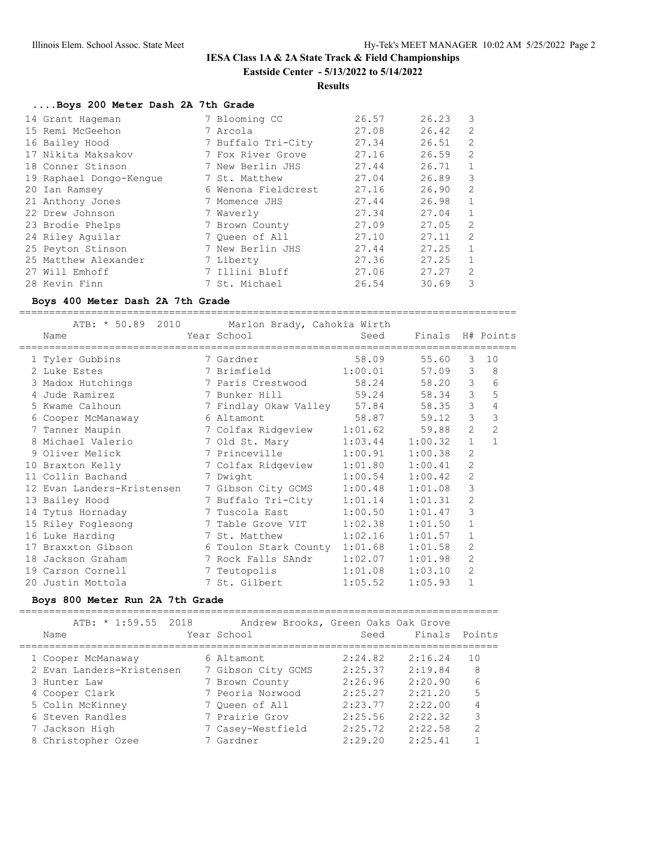## **Results**

## **....Boys 200 Meter Dash 2A 7th Grade**

| 14 Grant Hageman        | 7 Blooming CC       | 26.57 | 26.23 | 3              |
|-------------------------|---------------------|-------|-------|----------------|
| 15 Remi McGeehon        | 7 Arcola            | 27.08 | 26.42 | 2              |
| 16 Bailey Hood          | 7 Buffalo Tri-City  | 27.34 | 26.51 | 2              |
| 17 Nikita Maksakov      | 7 Fox River Grove   | 27.16 | 26.59 | 2              |
| 18 Conner Stinson       | 7 New Berlin JHS    | 27.44 | 26.71 | 1              |
| 19 Raphael Dongo-Kengue | 7 St. Matthew       | 27.04 | 26.89 | 3              |
| 20 Ian Ramsey           | 6 Wenona Fieldcrest | 27.16 | 26.90 | $\mathfrak{D}$ |
| 21 Anthony Jones        | 7 Momence JHS       | 27.44 | 26.98 | 1              |
| 22 Drew Johnson         | 7 Waverly           | 27.34 | 27.04 | $\mathbf{1}$   |
| 23 Brodie Phelps        | 7 Brown County      | 27.09 | 27.05 | $\mathfrak{D}$ |
| 24 Riley Aquilar        | 7 Oueen of All      | 27.10 | 27.11 | $\mathcal{L}$  |
| 25 Peyton Stinson       | 7 New Berlin JHS    | 27.44 | 27.25 | 1              |
| 25 Matthew Alexander    | 7 Liberty           | 27.36 | 27.25 | 1              |
| 27 Will Emhoff          | 7 Illini Bluff      | 27.06 | 27.27 | $\mathfrak{D}$ |
| 28 Kevin Finn           | 7 St. Michael       | 26.54 | 30.69 | 3              |

#### **Boys 400 Meter Dash 2A 7th Grade**

===================================================================================

|    |                            | ATB: * 50.89 2010 Marlon Brady, Cahokia Wirth |         |                  |                |                |
|----|----------------------------|-----------------------------------------------|---------|------------------|----------------|----------------|
|    | Name                       | Year School                                   | Seed    | Finals H# Points |                |                |
|    | 1 Tyler Gubbins            | 7 Gardner                                     | 58.09   | 55.60            | 3              | 10             |
|    | 2 Luke Estes               | 7 Brimfield 1:00.01                           |         | 57.09            | 3              | 8              |
|    | 3 Madox Hutchings          | 7 Paris Crestwood                             | 58.24   | 58.20            | 3              | 6              |
|    | 4 Jude Ramirez             | 7 Bunker Hill                                 | 59.24   | 58.34            | 3              | 5              |
|    | 5 Kwame Calhoun            | 7 Findlay Okaw Valley 57.84                   |         | 58.35            | 3              | 4              |
|    | 6 Cooper McManaway         | 6 Altamont                                    | 58.87   | 59.12            | 3              | 3              |
|    | 7 Tanner Maupin            | 7 Colfax Ridgeview 1:01.62                    |         | 59.88            | $\overline{2}$ | $\overline{2}$ |
|    | 8 Michael Valerio          | 7 Old St. Mary 1:03.44                        |         | 1:00.32          | $\mathbf{1}$   | $\mathbf{1}$   |
|    | 9 Oliver Melick            | 7 Princeville 1:00.91                         |         | 1:00.38          | 2              |                |
|    | 10 Braxton Kelly           | 7 Colfax Ridgeview 1:01.80                    |         | 1:00.41          | $\overline{2}$ |                |
|    | 11 Collin Bachand          | 7 Dwight                                      | 1:00.54 | 1:00.42          | $\overline{2}$ |                |
|    | 12 Evan Landers-Kristensen | 7 Gibson City GCMS 1:00.48                    |         | 1:01.08          | 3              |                |
|    | 13 Bailey Hood             | 7 Buffalo Tri-City 1:01.14                    |         | 1:01.31          | $\overline{2}$ |                |
|    | 14 Tytus Hornaday          | 7 Tuscola East 1:00.50                        |         | 1:01.47          | 3              |                |
|    | 15 Riley Foglesong         | 7 Table Grove VIT 1:02.38                     |         | 1:01.50          | $\mathbf{1}$   |                |
|    | 16 Luke Harding            | 7 St. Matthew                                 | 1:02.16 | 1:01.57          | $\mathbf{1}$   |                |
|    | 17 Braxxton Gibson         | 6 Toulon Stark County 1:01.68                 |         | 1:01.58          | 2              |                |
| 18 | Jackson Graham             | 7 Rock Falls SAndr 1:02.07                    |         | 1:01.98          | $\mathfrak{D}$ |                |
|    | 19 Carson Cornell          | 7 Teutopolis 1:01.08                          |         | 1:03.10          | $\overline{2}$ |                |
|    | 20 Justin Mottola          | 7 St. Gilbert                                 | 1:05.52 | 1:05.93          | $\mathbf 1$    |                |

#### **Boys 800 Meter Run 2A 7th Grade**

================================================================================

|      |                    | ATB: * 1:59.55 2018       | Andrew Brooks, Green Oaks Oak Grove |         |               |                |
|------|--------------------|---------------------------|-------------------------------------|---------|---------------|----------------|
| Name |                    |                           | Year School                         | Seed    | Finals Points |                |
|      | 1 Cooper McManaway |                           | 6 Altamont                          | 2:24.82 | 2:16.24       | 10             |
|      |                    | 2 Evan Landers-Kristensen | 7 Gibson City GCMS                  | 2:25.37 | 2:19.84       | 8              |
|      | 3 Hunter Law       |                           | 7 Brown County                      | 2:26.96 | 2:20.90       | 6              |
|      | 4 Cooper Clark     |                           | 7 Peoria Norwood                    | 2:25.27 | 2:21.20       | 5              |
|      | 5 Colin McKinney   |                           | 7 Oueen of All                      | 2:23.77 | 2:22.00       | 4              |
|      | 6 Steven Randles   |                           | 7 Prairie Grov                      | 2:25.56 | 2:22.32       | 3              |
|      | 7 Jackson High     |                           | 7 Casey-Westfield                   | 2:25.72 | 2:22.58       | $\mathfrak{D}$ |
|      | 8 Christopher Ozee |                           | 7 Gardner                           | 2:29.20 | 2:25.41       |                |
|      |                    |                           |                                     |         |               |                |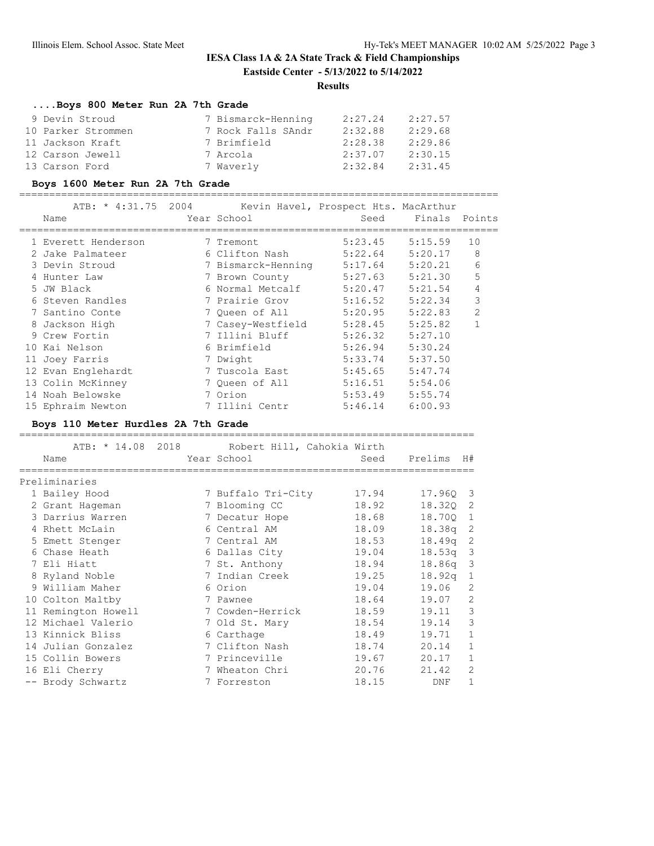## **Results**

============================================================================

## **....Boys 800 Meter Run 2A 7th Grade**

| 9 Devin Stroud     | 7 Bismarck-Henning | 2:27.24 | 2:27.57 |
|--------------------|--------------------|---------|---------|
| 10 Parker Strommen | 7 Rock Falls SAndr | 2:32.88 | 2:29.68 |
| 11 Jackson Kraft   | 7 Brimfield        | 2:28.38 | 2:29.86 |
| 12 Carson Jewell   | 7 Arcola           | 2:37.07 | 2:30.15 |
| 13 Carson Ford     | 7 Waverly          | 2:32.84 | 2:31.45 |

#### **Boys 1600 Meter Run 2A 7th Grade**

================================================================================

| ATB: * 4:31.75 2004<br>Name | Year School        | Kevin Havel, Prospect Hts. MacArthur<br>Seed | Finals Points |                |
|-----------------------------|--------------------|----------------------------------------------|---------------|----------------|
| 1 Everett Henderson         | 7 Tremont          | 5:23.45                                      | 5:15.59       | 10             |
| 2 Jake Palmateer            | 6 Clifton Nash     | 5:22.64                                      | 5:20.17       | 8              |
| 3 Devin Stroud              | 7 Bismarck-Henning | 5:17.64                                      | 5:20.21       | 6              |
| 4 Hunter Law                | 7 Brown County     | 5:27.63                                      | 5:21.30       | 5              |
| 5 JW Black                  | 6 Normal Metcalf   | 5:20.47                                      | 5:21.54       | 4              |
| 6 Steven Randles            | 7 Prairie Grov     | 5:16.52                                      | 5:22.34       | 3              |
| 7 Santino Conte             | 7 Oueen of All     | 5:20.95                                      | 5:22.83       | $\overline{2}$ |
| 8 Jackson High              | 7 Casey-Westfield  | 5:28.45                                      | 5:25.82       | $\mathbf{1}$   |
| 9 Crew Fortin               | 7 Illini Bluff     | 5:26.32                                      | 5:27.10       |                |
| 10 Kai Nelson               | 6 Brimfield        | 5:26.94                                      | 5:30.24       |                |
| 11 Joey Farris              | 7 Dwight           | 5:33.74                                      | 5:37.50       |                |
| 12 Evan Englehardt          | 7 Tuscola East     | 5:45.65                                      | 5:47.74       |                |
| 13 Colin McKinney           | 7 Oueen of All     | 5:16.51                                      | 5:54.06       |                |
| 14 Noah Belowske            | 7 Orion            | 5:53.49                                      | 5:55.74       |                |
| 15 Ephraim Newton           | 7 Illini Centr     | 5:46.14                                      | 6:00.93       |                |

#### **Boys 110 Meter Hurdles 2A 7th Grade**

| Name                | ATB: * 14.08 2018 Robert Hill, Cahokia Wirth<br>Year School | Seed  | Prelims H# |              |
|---------------------|-------------------------------------------------------------|-------|------------|--------------|
| Preliminaries       |                                                             |       |            |              |
| 1 Bailey Hood       | 7 Buffalo Tri-City                                          | 17.94 | 17.960 3   |              |
| 2 Grant Hageman     | 7 Blooming CC                                               | 18.92 | 18.320     | 2            |
| 3 Darrius Warren    | 7 Decatur Hope                                              | 18.68 | 18.700 1   |              |
| 4 Rhett McLain      | 6 Central AM                                                | 18.09 | 18.38a     | -2           |
| 5 Emett Stenger     | 7 Central AM                                                | 18.53 | 18.49q     | 2            |
| 6 Chase Heath       | 6 Dallas City                                               | 19.04 | $18.53q$ 3 |              |
| 7 Eli Hiatt         | 7 St. Anthony                                               | 18.94 | $18.86q$ 3 |              |
| 8 Ryland Noble      | 7 Indian Creek                                              | 19.25 | 18.92a     | 1            |
| 9 William Maher     | 6 Orion                                                     | 19.04 | 19.06      | 2            |
| 10 Colton Maltby    | 7 Pawnee                                                    | 18.64 | 19.07      | 2            |
| 11 Remington Howell | 7 Cowden-Herrick                                            | 18.59 | 19.11      | 3            |
| 12 Michael Valerio  | 7 Old St. Mary                                              | 18.54 | 19.14      | 3            |
| 13 Kinnick Bliss    | 6 Carthage                                                  | 18.49 | 19.71      | $\mathbf{1}$ |
| 14 Julian Gonzalez  | 7 Clifton Nash                                              | 18.74 | 20.14      | $\mathbf{1}$ |
| 15 Collin Bowers    | 7 Princeville                                               | 19.67 | 20.17      | 1            |
| 16 Eli Cherry       | 7 Wheaton Chri                                              | 20.76 | 21.42      | 2            |
| -- Brody Schwartz   | 7 Forreston                                                 | 18.15 | DNF        | 1            |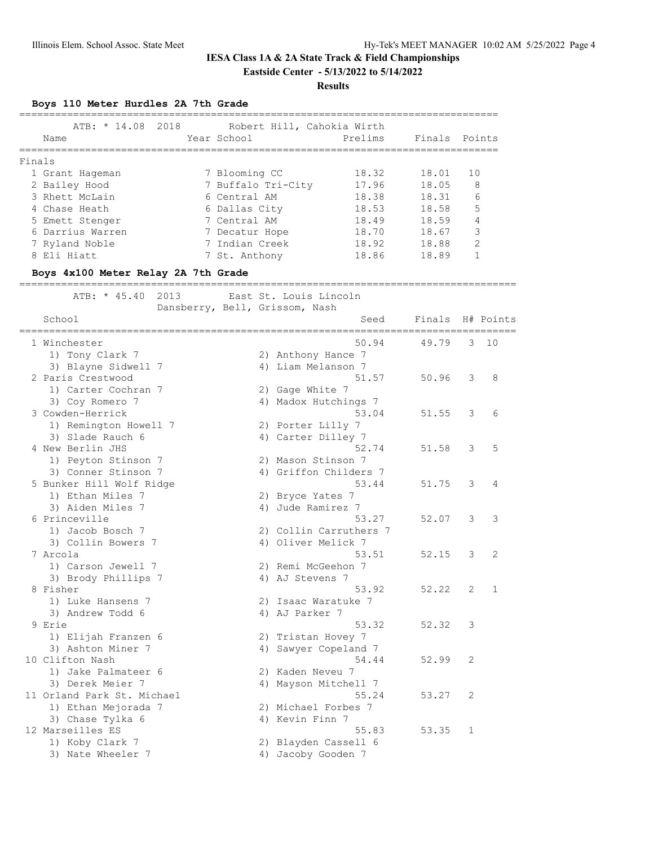#### **Results**

**Boys 110 Meter Hurdles 2A 7th Grade**

| ATB: * 14.08 2018<br>Name | Year School |                    | Robert Hill, Cahokia Wirth<br>Prelims | Finals Points |                |
|---------------------------|-------------|--------------------|---------------------------------------|---------------|----------------|
| Finals                    |             |                    |                                       |               |                |
| 1 Grant Hageman           |             | 7 Blooming CC      | 18.32                                 | 18.01         | 10             |
| 2 Bailey Hood             |             | 7 Buffalo Tri-City | 17.96                                 | 18.05         | 8              |
| 3 Rhett McLain            |             | 6 Central AM       | 18.38                                 | 18.31         | 6              |
| 4 Chase Heath             |             | 6 Dallas City      | 18.53                                 | 18.58         | 5              |
| 5 Emett Stenger           |             | 7 Central AM       | 18.49                                 | 18.59         | 4              |
| 6 Darrius Warren          |             | 7 Decatur Hope     | 18.70                                 | 18.67         | 3              |
| 7 Ryland Noble            |             | 7 Indian Creek     | 18.92                                 | 18.88         | $\mathfrak{D}$ |
| 8 Eli Hiatt               |             | 7 St. Anthony      | 18.86                                 | 18.89         |                |
|                           |             |                    |                                       |               |                |

#### **Boys 4x100 Meter Relay 2A 7th Grade**

===================================================================================

| 2013<br>ATB: * 45.40                     |    | East St. Louis Lincoln |        |              |              |
|------------------------------------------|----|------------------------|--------|--------------|--------------|
| Dansberry, Bell, Grissom, Nash<br>School |    | Seed                   | Finals |              | H# Points    |
| 1 Winchester                             |    | 50.94                  | 49.79  | 3            | 10           |
| 1) Tony Clark 7                          |    | 2) Anthony Hance 7     |        |              |              |
| 3) Blayne Sidwell 7                      |    | 4) Liam Melanson 7     |        |              |              |
| 2 Paris Crestwood                        |    | 51.57                  | 50.96  | 3            | 8            |
| 1) Carter Cochran 7                      |    | 2) Gage White 7        |        |              |              |
| 3) Coy Romero 7                          |    | 4) Madox Hutchings 7   |        |              |              |
| 3 Cowden-Herrick                         |    | 53.04                  | 51.55  | 3            | 6            |
| 1) Remington Howell 7                    |    | 2) Porter Lilly 7      |        |              |              |
| 3) Slade Rauch 6                         |    | 4) Carter Dilley 7     |        |              |              |
| 4 New Berlin JHS                         |    | 52.74                  | 51.58  | 3            | 5            |
| 1) Peyton Stinson 7                      |    | 2) Mason Stinson 7     |        |              |              |
| 3) Conner Stinson 7                      |    | 4) Griffon Childers 7  |        |              |              |
| 5 Bunker Hill Wolf Ridge                 |    | 53.44                  | 51.75  | 3            | 4            |
| 1) Ethan Miles 7                         |    | 2) Bryce Yates 7       |        |              |              |
| 3) Aiden Miles 7                         |    | 4) Jude Ramirez 7      |        |              |              |
| 6 Princeville                            |    | 53.27                  | 52.07  | 3            | 3            |
| 1) Jacob Bosch 7                         |    | 2) Collin Carruthers 7 |        |              |              |
| 3) Collin Bowers 7                       |    | 4) Oliver Melick 7     |        |              |              |
| 7 Arcola                                 |    | 53.51                  | 52.15  | 3            | 2            |
| 1) Carson Jewell 7                       |    | 2) Remi McGeehon 7     |        |              |              |
| 3) Brody Phillips 7                      |    | 4) AJ Stevens 7        |        |              |              |
| 8 Fisher                                 |    | 53.92                  | 52.22  | 2            | $\mathbf{1}$ |
| 1) Luke Hansens 7                        |    | 2) Isaac Waratuke 7    |        |              |              |
| 3) Andrew Todd 6                         |    | 4) AJ Parker 7         |        |              |              |
| 9 Erie                                   |    | 53.32                  | 52.32  | 3            |              |
| 1) Elijah Franzen 6                      |    | 2) Tristan Hovey 7     |        |              |              |
| 3) Ashton Miner 7                        | 4) | Sawyer Copeland 7      |        |              |              |
| 10 Clifton Nash                          |    | 54.44                  | 52.99  | 2            |              |
| 1) Jake Palmateer 6                      |    | 2) Kaden Neveu 7       |        |              |              |
| 3) Derek Meier 7                         |    | 4) Mayson Mitchell 7   |        |              |              |
| 11 Orland Park St. Michael               |    | 55.24                  | 53.27  | 2            |              |
| 1) Ethan Mejorada 7                      |    | 2) Michael Forbes 7    |        |              |              |
| 3) Chase Tylka 6                         |    | 4) Kevin Finn 7        |        |              |              |
| 12 Marseilles ES                         |    | 55.83                  | 53.35  | $\mathbf{1}$ |              |
| 1) Koby Clark 7                          |    | 2) Blayden Cassell 6   |        |              |              |
| 3) Nate Wheeler 7                        |    | 4) Jacoby Gooden 7     |        |              |              |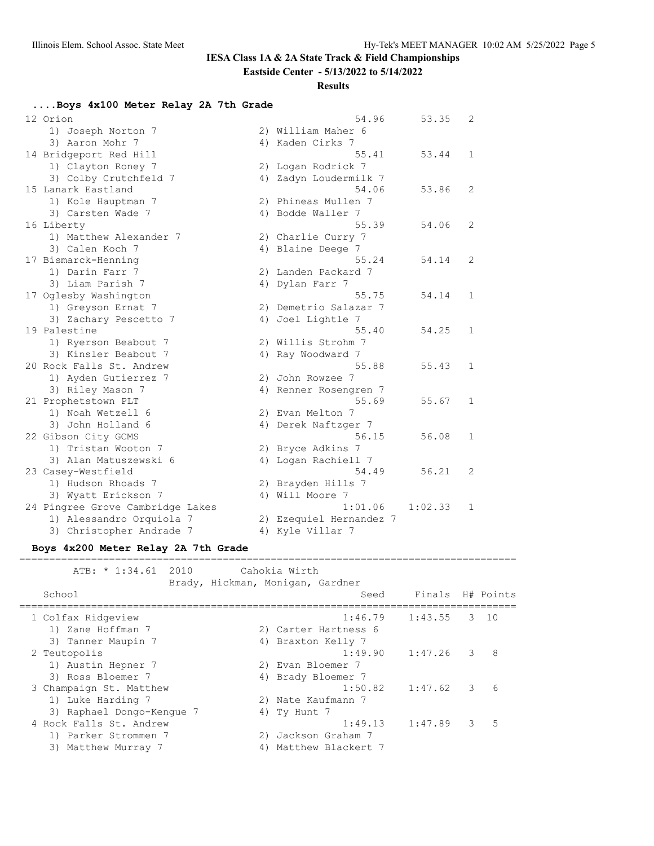## **IESA Class 1A & 2A State Track & Field Championships**

**Eastside Center - 5/13/2022 to 5/14/2022**

#### **Results**

#### **....Boys 4x100 Meter Relay 2A 7th Grade**

| 12 Orion                         | 54.96                   | 53.35   | $\mathbf{2}$   |
|----------------------------------|-------------------------|---------|----------------|
| 1) Joseph Norton 7               | 2) William Maher 6      |         |                |
| 3) Aaron Mohr 7                  | 4) Kaden Cirks 7        |         |                |
| 14 Bridgeport Red Hill           | 55.41                   | 53.44   | 1              |
| 1) Clayton Roney 7               | 2) Logan Rodrick 7      |         |                |
| 3) Colby Crutchfeld 7            | 4) Zadyn Loudermilk 7   |         |                |
| 15 Lanark Eastland               | 54.06                   | 53.86   | $\overline{2}$ |
| 1) Kole Hauptman 7               | 2) Phineas Mullen 7     |         |                |
| 3) Carsten Wade 7                | 4) Bodde Waller 7       |         |                |
| 16 Liberty                       | 55.39                   | 54.06   | $\overline{c}$ |
| 1) Matthew Alexander 7           | 2) Charlie Curry 7      |         |                |
| 3) Calen Koch 7                  | 4) Blaine Deege 7       |         |                |
| 17 Bismarck-Henning              | 55.24                   | 54.14   | $\overline{c}$ |
| 1) Darin Farr 7                  | 2) Landen Packard 7     |         |                |
| 3) Liam Parish 7                 | 4) Dylan Farr 7         |         |                |
| 17 Oglesby Washington            | 55.75                   | 54.14   | $\mathbf{1}$   |
| 1) Greyson Ernat 7               | 2) Demetrio Salazar 7   |         |                |
| 3) Zachary Pescetto 7            | 4) Joel Lightle 7       |         |                |
| 19 Palestine                     | 55.40                   | 54.25   | $\mathbf{1}$   |
| 1) Ryerson Beabout 7             | 2) Willis Strohm 7      |         |                |
| 3) Kinsler Beabout 7             | 4) Ray Woodward 7       |         |                |
| 20 Rock Falls St. Andrew         | 55.88                   | 55.43   | 1              |
| 1) Ayden Gutierrez 7             | 2) John Rowzee 7        |         |                |
| 3) Riley Mason 7                 | 4) Renner Rosengren 7   |         |                |
| 21 Prophetstown PLT              | 55.69                   | 55.67   | 1              |
| 1) Noah Wetzell 6                | 2) Evan Melton 7        |         |                |
| 3) John Holland 6                | 4) Derek Naftzger 7     |         |                |
| 22 Gibson City GCMS              | 56.15                   | 56.08   | 1              |
| 1) Tristan Wooton 7              | 2) Bryce Adkins 7       |         |                |
| 3) Alan Matuszewski 6            | 4) Logan Rachiell 7     |         |                |
| 23 Casey-Westfield               | 54.49                   | 56.21   | $\overline{2}$ |
| 1) Hudson Rhoads 7               | 2) Brayden Hills 7      |         |                |
| 3) Wyatt Erickson 7              | 4) Will Moore 7         |         |                |
| 24 Pingree Grove Cambridge Lakes | 1:01.06                 | 1:02.33 | 1              |
| 1) Alessandro Orquiola 7         | 2) Ezequiel Hernandez 7 |         |                |
| 3) Christopher Andrade 7         | 4) Kyle Villar 7        |         |                |

#### **Boys 4x200 Meter Relay 2A 7th Grade**

=================================================================================== ATB: \* 1:34.61 2010 Cahokia Wirth Brady, Hickman, Monigan, Gardner School Seed Finals H# Points =================================================================================== 1 Colfax Ridgeview 1:46.79 1:43.55 3 10 1) Zane Hoffman 7 (2) Carter Hartness 6<br>3) Tanner Maupin 7 (2) 4) Braxton Kelly 7 3) Tanner Maupin 7 (4) Braxton Kelly 7 2 Teutopolis 1:49.90 1:47.26 3 8 1) Austin Hepner 7 2) Evan Bloemer 7 3) Ross Bloemer 7 (4) Brady Bloemer 7 3 Champaign St. Matthew 1:50.82 1:47.62 3 6 1) Luke Harding 7 2) Nate Kaufmann 7 3) Raphael Dongo-Kengue 7 (4) Ty Hunt 7 4 Rock Falls St. Andrew 1:49.13 1:47.89 3 5 1) Parker Strommen 7 2) Jackson Graham 7 3) Matthew Murray 7 1 4) Matthew Blackert 7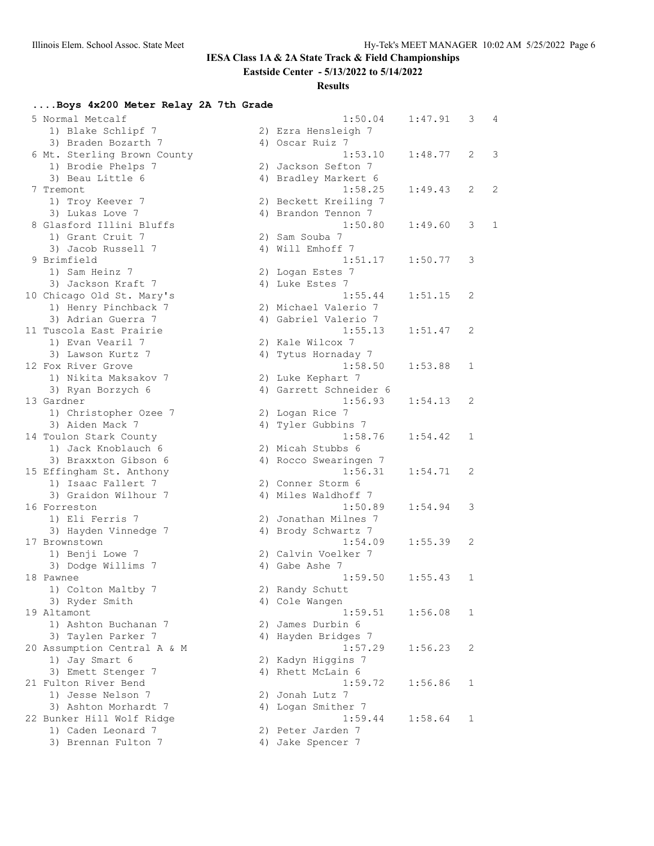## **IESA Class 1A & 2A State Track & Field Championships**

**Eastside Center - 5/13/2022 to 5/14/2022**

### **Results**

## **....Boys 4x200 Meter Relay 2A 7th Grade**

| 5 Normal Metcalf            | 1:50.04                           | 1:47.91 | 3            | 4            |
|-----------------------------|-----------------------------------|---------|--------------|--------------|
| 1) Blake Schlipf 7          | 2) Ezra Hensleigh 7               |         |              |              |
| 3) Braden Bozarth 7         | 4) Oscar Ruiz 7                   |         |              |              |
| 6 Mt. Sterling Brown County | 1:53.10                           | 1:48.77 | 2            | 3            |
| 1) Brodie Phelps 7          | 2) Jackson Sefton 7               |         |              |              |
| 3) Beau Little 6            | 4) Bradley Markert 6              |         |              |              |
| 7 Tremont                   | 1:58.25                           | 1:49.43 | 2            | 2            |
| 1) Troy Keever 7            | 2) Beckett Kreiling 7             |         |              |              |
| 3) Lukas Love 7             | 4) Brandon Tennon 7               |         |              |              |
| 8 Glasford Illini Bluffs    | 1:50.80                           | 1:49.60 | 3            | $\mathbf{1}$ |
| 1) Grant Cruit 7            | 2) Sam Souba 7                    |         |              |              |
| 3) Jacob Russell 7          | 4) Will Emhoff 7                  |         |              |              |
| 9 Brimfield                 | 1:51.17                           | 1:50.77 | 3            |              |
| 1) Sam Heinz 7              | 2) Logan Estes 7                  |         |              |              |
| 3) Jackson Kraft 7          | 4) Luke Estes 7                   |         |              |              |
| 10 Chicago Old St. Mary's   | 1:55.44                           | 1:51.15 | 2            |              |
| 1) Henry Pinchback 7        | 2) Michael Valerio 7              |         |              |              |
| 3) Adrian Guerra 7          | 4) Gabriel Valerio 7              |         |              |              |
| 11 Tuscola East Prairie     | 1:55.13                           | 1:51.47 | 2            |              |
| 1) Evan Vearil 7            | 2) Kale Wilcox 7                  |         |              |              |
| 3) Lawson Kurtz 7           |                                   |         |              |              |
| 12 Fox River Grove          | 4) Tytus Hornaday 7<br>1:58.50    |         |              |              |
|                             |                                   | 1:53.88 | 1            |              |
| 1) Nikita Maksakov 7        | 2) Luke Kephart 7                 |         |              |              |
| 3) Ryan Borzych 6           | 4) Garrett Schneider 6<br>1:56.93 |         |              |              |
| 13 Gardner                  |                                   | 1:54.13 | 2            |              |
| 1) Christopher Ozee 7       | 2) Logan Rice 7                   |         |              |              |
| 3) Aiden Mack 7             | 4) Tyler Gubbins 7                |         |              |              |
| 14 Toulon Stark County      | 1:58.76                           | 1:54.42 | $\mathbf{1}$ |              |
| 1) Jack Knoblauch 6         | 2) Micah Stubbs 6                 |         |              |              |
| 3) Braxxton Gibson 6        | 4) Rocco Swearingen 7             |         |              |              |
| 15 Effingham St. Anthony    | 1:56.31                           | 1:54.71 | 2            |              |
| 1) Isaac Fallert 7          | 2) Conner Storm 6                 |         |              |              |
| 3) Graidon Wilhour 7        | 4) Miles Waldhoff 7               |         |              |              |
| 16 Forreston                | 1:50.89                           | 1:54.94 | 3            |              |
| 1) Eli Ferris 7             | 2) Jonathan Milnes 7              |         |              |              |
| 3) Hayden Vinnedge 7        | 4) Brody Schwartz 7               |         |              |              |
| 17 Brownstown               | 1:54.09                           | 1:55.39 | 2            |              |
| 1) Benji Lowe 7             | 2) Calvin Voelker 7               |         |              |              |
| 3) Dodge Willims 7          | 4) Gabe Ashe 7                    |         |              |              |
| 18 Pawnee                   | 1:59.50                           | 1:55.43 | 1            |              |
| 1) Colton Maltby 7          | 2) Randy Schutt                   |         |              |              |
| 3) Ryder Smith              | 4) Cole Wangen                    |         |              |              |
| 19 Altamont                 | 1:59.51                           | 1:56.08 | 1            |              |
| 1) Ashton Buchanan 7        | 2) James Durbin 6                 |         |              |              |
| 3) Taylen Parker 7          | 4) Hayden Bridges 7               |         |              |              |
| 20 Assumption Central A & M | 1:57.29                           | 1:56.23 | 2            |              |
| 1) Jay Smart 6              | 2) Kadyn Higgins 7                |         |              |              |
| 3) Emett Stenger 7          | 4) Rhett McLain 6                 |         |              |              |
| 21 Fulton River Bend        | 1:59.72                           | 1:56.86 | 1            |              |
| 1) Jesse Nelson 7           | 2) Jonah Lutz 7                   |         |              |              |
| 3) Ashton Morhardt 7        | 4) Logan Smither 7                |         |              |              |
| 22 Bunker Hill Wolf Ridge   | 1:59.44                           | 1:58.64 | 1            |              |
| 1) Caden Leonard 7          | 2) Peter Jarden 7                 |         |              |              |
| 3) Brennan Fulton 7         | 4) Jake Spencer 7                 |         |              |              |
|                             |                                   |         |              |              |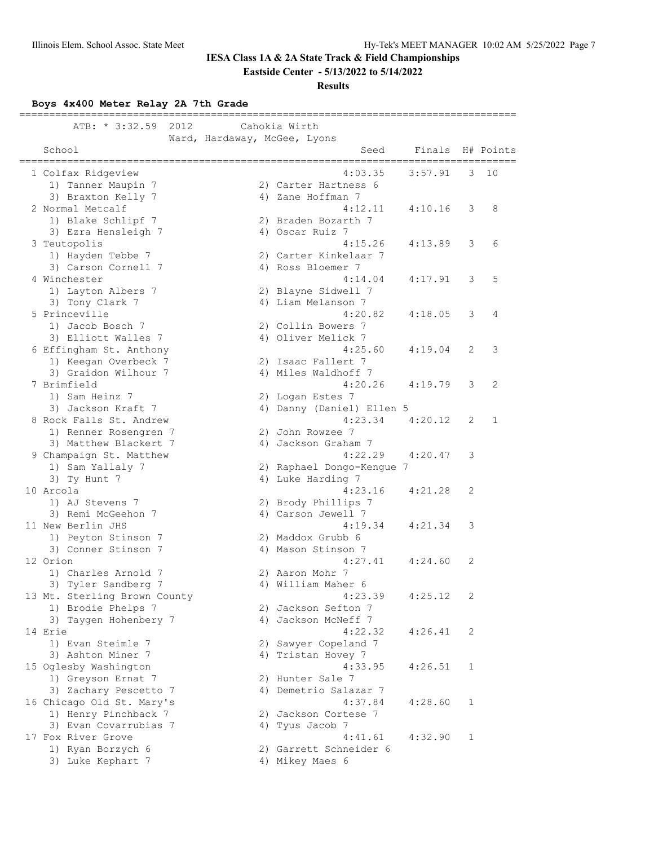## **IESA Class 1A & 2A State Track & Field Championships**

**Eastside Center - 5/13/2022 to 5/14/2022**

### **Results**

**Boys 4x400 Meter Relay 2A 7th Grade**

| 2012<br>ATB: * 3:32.59                              |                              | Cahokia Wirth                                 |                      |         |              |              |
|-----------------------------------------------------|------------------------------|-----------------------------------------------|----------------------|---------|--------------|--------------|
| School                                              | Ward, Hardaway, McGee, Lyons |                                               | Seed<br>============ | Finals  |              | H# Points    |
| 1 Colfax Ridgeview<br>1) Tanner Maupin 7            |                              | 2) Carter Hartness 6                          | 4:03.35              | 3:57.91 | 3            | 10           |
| 3) Braxton Kelly 7                                  |                              | 4) Zane Hoffman 7                             |                      |         |              |              |
| 2 Normal Metcalf<br>1) Blake Schlipf 7              |                              | 2) Braden Bozarth 7                           | 4:12.11              | 4:10.16 | 3            | 8            |
| 3) Ezra Hensleigh 7<br>3 Teutopolis                 |                              | 4) Oscar Ruiz 7                               | 4:15.26              | 4:13.89 | 3            | 6            |
| 1) Hayden Tebbe 7<br>3) Carson Cornell 7            |                              | 2) Carter Kinkelaar 7<br>4) Ross Bloemer 7    |                      |         |              |              |
| 4 Winchester<br>1) Layton Albers 7                  |                              | 2) Blayne Sidwell 7                           | 4:14.04              | 4:17.91 | 3            | 5            |
| 3) Tony Clark 7                                     |                              | 4) Liam Melanson 7                            |                      |         |              |              |
| 5 Princeville<br>1) Jacob Bosch 7                   |                              | 2) Collin Bowers 7                            | 4:20.82              | 4:18.05 | 3            | 4            |
| 3) Elliott Walles 7<br>6 Effingham St. Anthony      |                              | 4) Oliver Melick 7                            | 4:25.60              | 4:19.04 | 2            | 3            |
| 1) Keegan Overbeck 7<br>3) Graidon Wilhour 7        |                              | 2) Isaac Fallert 7<br>4) Miles Waldhoff 7     |                      |         |              |              |
| 7 Brimfield                                         |                              |                                               | 4:20.26              | 4:19.79 | 3            | 2            |
| 1) Sam Heinz 7<br>3) Jackson Kraft 7                |                              | 2) Logan Estes 7<br>4) Danny (Daniel) Ellen 5 |                      |         |              |              |
| 8 Rock Falls St. Andrew<br>1) Renner Rosengren 7    |                              | 2) John Rowzee 7                              | 4:23.34              | 4:20.12 | 2            | $\mathbf{1}$ |
| 3) Matthew Blackert 7<br>9 Champaign St. Matthew    |                              | 4) Jackson Graham 7                           | 4:22.29              | 4:20.47 | 3            |              |
| 1) Sam Yallaly 7                                    |                              | 2) Raphael Dongo-Kengue 7                     |                      |         |              |              |
| 3) Ty Hunt 7<br>10 Arcola                           |                              | 4) Luke Harding 7                             | 4:23.16              | 4:21.28 | 2            |              |
| 1) AJ Stevens 7<br>3) Remi McGeehon 7               |                              | 2) Brody Phillips 7<br>4) Carson Jewell 7     |                      |         |              |              |
| 11 New Berlin JHS<br>1) Peyton Stinson 7            |                              | 2) Maddox Grubb 6                             | 4:19.34              | 4:21.34 | 3            |              |
| 3) Conner Stinson 7<br>12 Orion                     |                              | 4) Mason Stinson 7                            | 4:27.41              | 4:24.60 | 2            |              |
| 1) Charles Arnold 7                                 |                              | 2) Aaron Mohr 7                               |                      |         |              |              |
| 3) Tyler Sandberg 7<br>13 Mt. Sterling Brown County |                              | 4) William Maher 6                            | 4:23.39              | 4:25.12 | 2            |              |
| 1) Brodie Phelps 7<br>3) Taygen Hohenbery 7         |                              | 2) Jackson Sefton 7<br>4) Jackson McNeff 7    |                      |         |              |              |
| 14 Erie<br>1) Evan Steimle 7                        |                              | 2) Sawyer Copeland 7                          | 4:22.32              | 4:26.41 | 2            |              |
| 3) Ashton Miner 7                                   |                              | 4) Tristan Hovey 7                            |                      |         |              |              |
| 15 Oglesby Washington<br>1) Greyson Ernat 7         |                              | 2) Hunter Sale 7                              | 4:33.95              | 4:26.51 | 1            |              |
| 3) Zachary Pescetto 7<br>16 Chicago Old St. Mary's  |                              | 4) Demetrio Salazar 7                         | 4:37.84              | 4:28.60 | 1            |              |
| 1) Henry Pinchback 7<br>3) Evan Covarrubias 7       |                              | 2) Jackson Cortese 7<br>4) Tyus Jacob 7       |                      |         |              |              |
| 17 Fox River Grove<br>1) Ryan Borzych 6             |                              | 2) Garrett Schneider 6                        | 4:41.61              | 4:32.90 | $\mathbf{1}$ |              |
| 3) Luke Kephart 7                                   |                              | 4) Mikey Maes 6                               |                      |         |              |              |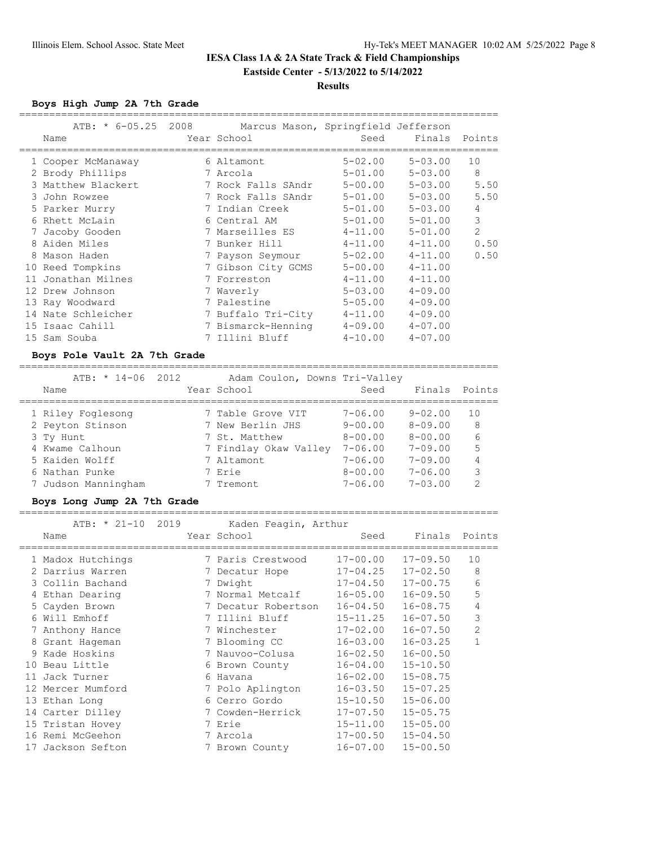### **Results**

**Boys High Jump 2A 7th Grade**

| Name               | ATB: * 6-05.25 2008 Marcus Mason, Springfield Jefferson<br>Year School | Seed        | Finals Points |                |
|--------------------|------------------------------------------------------------------------|-------------|---------------|----------------|
| 1 Cooper McManaway | 6 Altamont                                                             | $5 - 02.00$ | $5 - 03.00$   | 10             |
| 2 Brody Phillips   | 7 Arcola                                                               | $5 - 01.00$ | $5 - 03.00$   | 8              |
| 3 Matthew Blackert | 7 Rock Falls SAndr                                                     | $5 - 00.00$ | $5 - 03.00$   | 5.50           |
| 3 John Rowzee      | 7 Rock Falls SAndr                                                     | $5 - 01.00$ | $5 - 03.00$   | 5.50           |
| 5 Parker Murry     | 7 Indian Creek                                                         | $5 - 01.00$ | $5 - 03.00$   | 4              |
| 6 Rhett McLain     | 6 Central AM                                                           | $5 - 01.00$ | $5 - 01.00$   | 3              |
| 7 Jacoby Gooden    | 7 Marseilles ES                                                        | $4 - 11.00$ | $5 - 01.00$   | $\overline{2}$ |
| 8 Aiden Miles      | 7 Bunker Hill                                                          | $4 - 11.00$ | $4 - 11.00$   | 0.50           |
| 8 Mason Haden      | 7 Payson Seymour                                                       | $5 - 02.00$ | $4 - 11.00$   | 0.50           |
| 10 Reed Tompkins   | 7 Gibson City GCMS                                                     | $5 - 00.00$ | $4 - 11.00$   |                |
| 11 Jonathan Milnes | 7 Forreston                                                            | $4 - 11.00$ | $4 - 11.00$   |                |
| 12 Drew Johnson    | 7 Waverly                                                              | $5 - 03.00$ | $4 - 09.00$   |                |
| 13 Ray Woodward    | 7 Palestine                                                            | $5 - 05.00$ | $4 - 09.00$   |                |
| 14 Nate Schleicher | 7 Buffalo Tri-City                                                     | $4 - 11.00$ | $4 - 09.00$   |                |
| 15 Isaac Cahill    | 7 Bismarck-Henning                                                     | $4 - 09.00$ | $4 - 07.00$   |                |
| 15 Sam Souba       | 7 Illini Bluff                                                         | $4 - 10.00$ | $4 - 07.00$   |                |

#### **Boys Pole Vault 2A 7th Grade**

================================================================================

| ATB: $\star$ 14-06 2012 | Adam Coulon, Downs Tri-Valley |             |                                  |
|-------------------------|-------------------------------|-------------|----------------------------------|
| Name                    | Year School                   | Seed        | Points<br>Finals                 |
| 1 Riley Foglesong       | 7 Table Grove VIT             | $7 - 06.00$ | $9 - 02.00$<br>10                |
| 2 Peyton Stinson        | 7 New Berlin JHS              | $9 - 00.00$ | $8 - 09.00$<br>8                 |
| 3 Ty Hunt               | 7 St. Matthew                 | $8 - 00.00$ | 6<br>$8 - 00.00$                 |
| 4 Kwame Calhoun         | 7 Findlay Okaw Valley         | $7 - 06.00$ | 5<br>$7 - 09.00$                 |
| 5 Kaiden Wolff          | 7 Altamont                    | $7 - 06.00$ | $7 - 09.00$<br>4                 |
| 6 Nathan Punke          | 7 Erie                        | $8 - 00.00$ | $7 - 06.00$<br>3                 |
| 7 Judson Manningham     | 7 Tremont                     | $7 - 06.00$ | $7 - 0.3$ , 00<br>$\mathfrak{D}$ |
|                         |                               |             |                                  |

================================================================================

#### **Boys Long Jump 2A 7th Grade**

 ATB: \* 21-10 2019 Kaden Feagin, Arthur Name Year School Seed Finals Points ================================================================================ 1 Madox Hutchings 7 Paris Crestwood 17-00.00 17-09.50 10 2 Darrius Warren 7 Decatur Hope 17-04.25 17-02.50 8 3 Collin Bachand 7 Dwight 17-04.50 17-00.75 6 4 Ethan Dearing 7 Normal Metcalf 16-05.00 16-09.50 5 5 Cayden Brown 7 Decatur Robertson 16-04.50 16-08.75 4 6 Will Emhoff 7 Illini Bluff 15-11.25 16-07.50 3 7 Anthony Hance 7 Winchester 17-02.00 16-07.50 2 8 Grant Hageman 7 Blooming CC 16-03.00 16-03.25 1 9 Kade Hoskins 7 Nauvoo-Colusa 16-02.50 16-00.50 10 Beau Little 6 Brown County 16-04.00 15-10.50 11 Jack Turner 6 Havana 16-02.00 15-08.75 12 Mercer Mumford 7 Polo Aplington 16-03.50 15-07.25 13 Ethan Long 6 Cerro Gordo 15-10.50 15-06.00 14 Carter Dilley 7 Cowden-Herrick 17-07.50 15-05.75 15 Tristan Hovey 7 Erie 15-11.00 15-05.00 16 Remi McGeehon 7 Arcola 17-00.50 15-04.50 17 Jackson Sefton 7 Brown County 16-07.00 15-00.50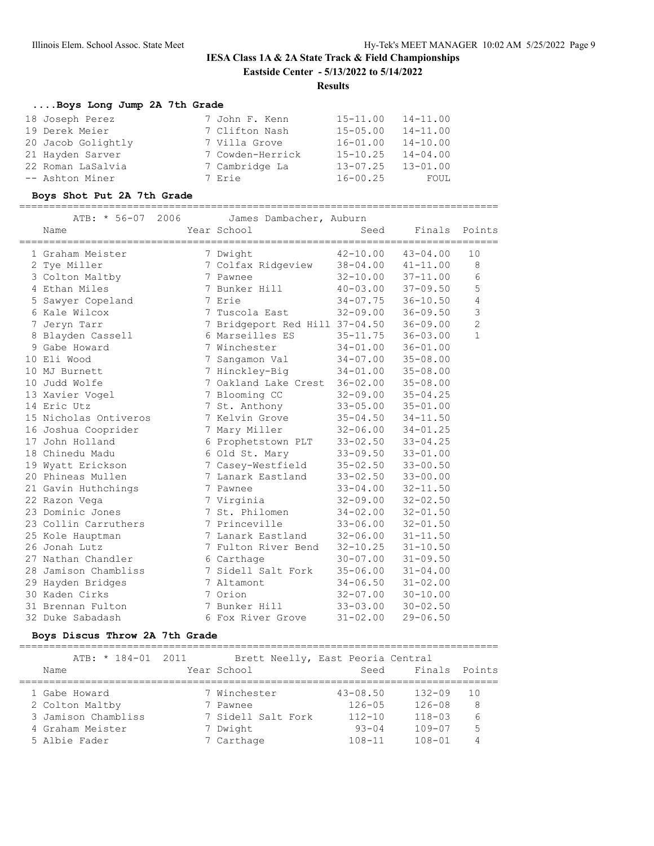## **Results**

## **....Boys Long Jump 2A 7th Grade**

| 18 Joseph Perez    | 7 John F. Kenn   | $15 - 11.00$ | $14 - 11.00$ |
|--------------------|------------------|--------------|--------------|
| 19 Derek Meier     | 7 Clifton Nash   | $15 - 05.00$ | $14 - 11.00$ |
| 20 Jacob Golightly | 7 Villa Grove    | $16 - 01.00$ | $14 - 10.00$ |
| 21 Hayden Sarver   | 7 Cowden-Herrick | $15 - 10.25$ | $14 - 04.00$ |
| 22 Roman LaSalvia  | 7 Cambridge La   | $13 - 07.25$ | $13 - 01.00$ |
| -- Ashton Miner    | 7 Erie           | $16 - 00.25$ | FOUL         |

## **Boys Shot Put 2A 7th Grade**

================================================================================

| 2006<br>ATB: * 56-07<br>Name | James Dambacher, Auburn<br>Year School | Seed         | Finals Points |                |
|------------------------------|----------------------------------------|--------------|---------------|----------------|
| 1 Graham Meister             | 7 Dwight                               | $42 - 10.00$ | $43 - 04.00$  | 10             |
| 2 Tye Miller                 | 7 Colfax Ridgeview                     | $38 - 04.00$ | $41 - 11.00$  | 8              |
| 3 Colton Maltby              | 7 Pawnee                               | $32 - 10.00$ | $37 - 11.00$  | 6              |
| 4 Ethan Miles                | 7 Bunker Hill                          | $40 - 03.00$ | $37 - 09.50$  | 5              |
| 5 Sawyer Copeland            | 7 Erie                                 | $34 - 07.75$ | $36 - 10.50$  | 4              |
| 6 Kale Wilcox                | 7 Tuscola East                         | $32 - 09.00$ | $36 - 09.50$  | 3              |
| 7 Jeryn Tarr                 | 7 Bridgeport Red Hill 37-04.50         |              | $36 - 09.00$  | $\overline{c}$ |
| 8 Blayden Cassell            | 6 Marseilles ES                        | $35 - 11.75$ | $36 - 03.00$  | $\mathbf{1}$   |
| 9 Gabe Howard                | 7 Winchester                           | $34 - 01.00$ | $36 - 01.00$  |                |
| 10 Eli Wood                  | 7 Sangamon Val                         | $34 - 07.00$ | $35 - 08.00$  |                |
| 10 MJ Burnett                | 7 Hinckley-Big                         | $34 - 01.00$ | $35 - 08.00$  |                |
| 10 Judd Wolfe                | 7 Oakland Lake Crest                   | $36 - 02.00$ | $35 - 08.00$  |                |
| 13 Xavier Vogel              | 7 Blooming CC                          | $32 - 09.00$ | $35 - 04.25$  |                |
| 14 Eric Utz                  | 7 St. Anthony                          | $33 - 05.00$ | $35 - 01.00$  |                |
| 15 Nicholas Ontiveros        | 7 Kelvin Grove                         | $35 - 04.50$ | $34 - 11.50$  |                |
| 16 Joshua Cooprider          | 7 Mary Miller                          | $32 - 06.00$ | $34 - 01.25$  |                |
| 17 John Holland              | 6 Prophetstown PLT                     | $33 - 02.50$ | $33 - 04.25$  |                |
| 18 Chinedu Madu              | 6 Old St. Mary                         | $33 - 09.50$ | $33 - 01.00$  |                |
| 19 Wyatt Erickson            | 7 Casey-Westfield                      | $35 - 02.50$ | $33 - 00.50$  |                |
| 20 Phineas Mullen            | 7 Lanark Eastland                      | $33 - 02.50$ | $33 - 00.00$  |                |
| 21 Gavin Huthchings          | 7 Pawnee                               | $33 - 04.00$ | $32 - 11.50$  |                |
| 22 Razon Vega                | 7 Virginia                             | $32 - 09.00$ | $32 - 02.50$  |                |
| 23 Dominic Jones             | 7 St. Philomen                         | $34 - 02.00$ | $32 - 01.50$  |                |
| 23 Collin Carruthers         | 7 Princeville                          | $33 - 06.00$ | $32 - 01.50$  |                |
| 25 Kole Hauptman             | 7 Lanark Eastland                      | $32 - 06.00$ | $31 - 11.50$  |                |
| 26 Jonah Lutz                | 7 Fulton River Bend                    | $32 - 10.25$ | $31 - 10.50$  |                |
| 27 Nathan Chandler           | 6 Carthage                             | $30 - 07.00$ | $31 - 09.50$  |                |
| 28 Jamison Chambliss         | 7 Sidell Salt Fork                     | $35 - 06.00$ | $31 - 04.00$  |                |
| 29 Hayden Bridges            | 7 Altamont                             | $34 - 06.50$ | $31 - 02.00$  |                |
| 30 Kaden Cirks               | 7 Orion                                | $32 - 07.00$ | $30 - 10.00$  |                |
| 31 Brennan Fulton            | 7 Bunker Hill                          | $33 - 03.00$ | $30 - 02.50$  |                |
| 32 Duke Sabadash             | 6 Fox River Grove                      | $31 - 02.00$ | $29 - 06.50$  |                |

#### **Boys Discus Throw 2A 7th Grade**

================================================================================

| ATB: $* 184 - 01 2011$ | Brett Neelly, East Peoria Central |              |               |     |
|------------------------|-----------------------------------|--------------|---------------|-----|
| Name                   | Year School                       | Seed         | Finals Points |     |
|                        |                                   |              |               |     |
| 1 Gabe Howard          | 7 Winchester                      | $43 - 08.50$ | $132 - 09$    | 1 O |
| 2 Colton Maltby        | 7 Pawnee                          | $126 - 05$   | $126 - 08$    | 8   |
| 3 Jamison Chambliss    | 7 Sidell Salt Fork                | $112 - 10$   | $118 - 03$    | 6   |
| 4 Graham Meister       | 7 Dwight                          | $93 - 04$    | $109 - 07$    | 5   |
| 5 Albie Fader          | 7 Carthage                        | $108 - 11$   | $108 - 01$    | 4   |